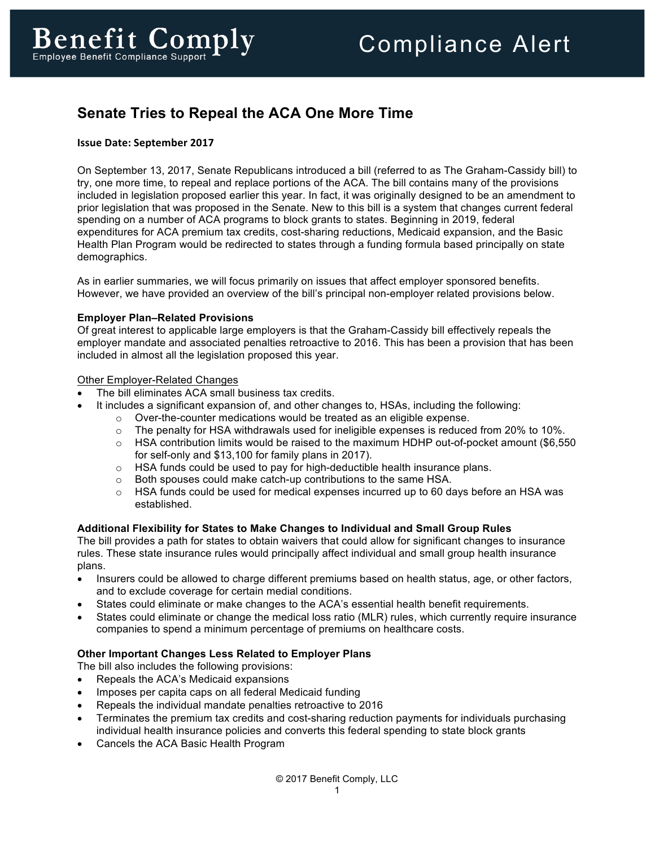# **Senate Tries to Repeal the ACA One More Time**

## **Issue Date: September 2017**

On September 13, 2017, Senate Republicans introduced a bill (referred to as The Graham-Cassidy bill) to try, one more time, to repeal and replace portions of the ACA. The bill contains many of the provisions included in legislation proposed earlier this year. In fact, it was originally designed to be an amendment to prior legislation that was proposed in the Senate. New to this bill is a system that changes current federal spending on a number of ACA programs to block grants to states. Beginning in 2019, federal expenditures for ACA premium tax credits, cost-sharing reductions, Medicaid expansion, and the Basic Health Plan Program would be redirected to states through a funding formula based principally on state demographics.

As in earlier summaries, we will focus primarily on issues that affect employer sponsored benefits. However, we have provided an overview of the bill's principal non-employer related provisions below.

#### **Employer Plan–Related Provisions**

Of great interest to applicable large employers is that the Graham-Cassidy bill effectively repeals the employer mandate and associated penalties retroactive to 2016. This has been a provision that has been included in almost all the legislation proposed this year.

#### Other Employer-Related Changes

- The bill eliminates ACA small business tax credits.
	- It includes a significant expansion of, and other changes to, HSAs, including the following:
		- o Over-the-counter medications would be treated as an eligible expense.
		- $\circ$  The penalty for HSA withdrawals used for ineligible expenses is reduced from 20% to 10%.
		- $\circ$  HSA contribution limits would be raised to the maximum HDHP out-of-pocket amount (\$6,550 for self-only and \$13,100 for family plans in 2017).
		- $\circ$  HSA funds could be used to pay for high-deductible health insurance plans.
		- o Both spouses could make catch-up contributions to the same HSA.
		- $\circ$  HSA funds could be used for medical expenses incurred up to 60 days before an HSA was established.

#### **Additional Flexibility for States to Make Changes to Individual and Small Group Rules**

The bill provides a path for states to obtain waivers that could allow for significant changes to insurance rules. These state insurance rules would principally affect individual and small group health insurance plans.

- Insurers could be allowed to charge different premiums based on health status, age, or other factors, and to exclude coverage for certain medial conditions.
- States could eliminate or make changes to the ACA's essential health benefit requirements.
- States could eliminate or change the medical loss ratio (MLR) rules, which currently require insurance companies to spend a minimum percentage of premiums on healthcare costs.

#### **Other Important Changes Less Related to Employer Plans**

- The bill also includes the following provisions:
- Repeals the ACA's Medicaid expansions
- Imposes per capita caps on all federal Medicaid funding
- Repeals the individual mandate penalties retroactive to 2016
- Terminates the premium tax credits and cost-sharing reduction payments for individuals purchasing individual health insurance policies and converts this federal spending to state block grants
- Cancels the ACA Basic Health Program